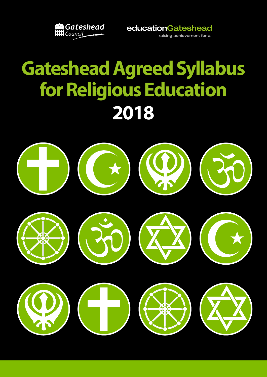

educationGateshead

raising achievement for all

# **Gateshead Agreed Syllabus for Religious Education 2018**

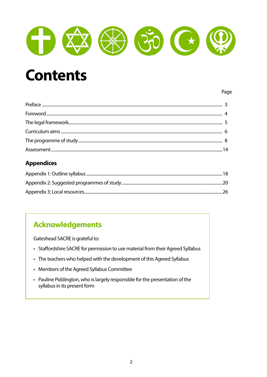

## **Contents**

#### Page

#### **Appendices**

#### **Acknowledgements**

Gateshead SACRE is grateful to:

- Staffordshire SACRE for permission to use material from their Agreed Syllabus
- The teachers who helped with the development of this Agreed Syllabus
- Members of the Agreed Syllabus Committee
- Pauline Piddington, who is largely responsible for the presentation of the syllabus in its present form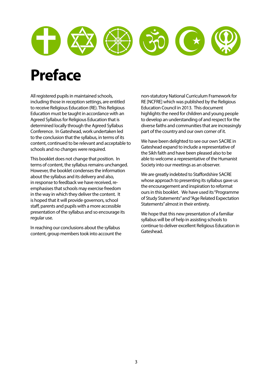

## **Preface**

All registered pupils in maintained schools, including those in reception settings, are entitled to receive Religious Education (RE). This Religious Education must be taught in accordance with an Agreed Syllabus for Religious Education that is determined locally through the Agreed Syllabus Conference. In Gateshead, work undertaken led to the conclusion that the syllabus, in terms of its content, continued to be relevant and acceptable to schools and no changes were required.

This booklet does not change that position. In terms of content, the syllabus remains unchanged. However, the booklet condenses the information about the syllabus and its delivery and also, in response to feedback we have received, reemphasises that schools may exercise freedom in the way in which they deliver the content. It is hoped that it will provide governors, school staff, parents and pupils with a more accessible presentation of the syllabus and so encourage its regular use.

In reaching our conclusions about the syllabus content, group members took into account the non-statutory National Curriculum Framework for RE [NCFRE] which was published by the Religious Education Council in 2013. This document highlights the need for children and young people to develop an understanding of and respect for the diverse faiths and communities that are increasingly part of the country and our own corner of it.

We have been delighted to see our own SACRE in Gateshead expand to include a representative of the Sikh faith and have been pleased also to be able to welcome a representative of the Humanist Society into our meetings as an observer.

We are greatly indebted to Staffordshire SACRE whose approach to presenting its syllabus gave us the encouragement and inspiration to reformat ours in this booklet. We have used its "Programme of Study Statements" and "Age Related Expectation Statements" almost in their entirety.

We hope that this new presentation of a familiar syllabus will be of help in assisting schools to continue to deliver excellent Religious Education in Gateshead.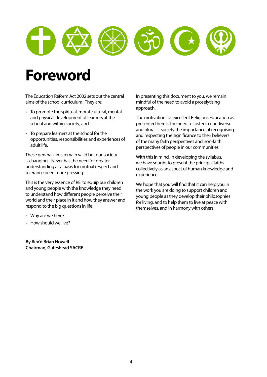

## **Foreword**

The Education Reform Act 2002 sets out the central aims of the school curriculum. They are:

- To promote the spiritual, moral, cultural, mental and physical development of learners at the school and within society; and
- To prepare learners at the school for the opportunities, responsibilities and experiences of adult life.

These general aims remain valid but our society is changing. Never has the need for greater understanding as a basis for mutual respect and tolerance been more pressing.

This is the very essence of RE: to equip our children and young people with the knowledge they need to understand how different people perceive their world and their place in it and how they answer and respond to the big questions in life:

- Why are we here?
- How should we live?

**By Rev'd Brian Howell Chairman, Gateshead SACRE** In presenting this document to you, we remain mindful of the need to avoid a proselytising approach.

The motivation for excellent Religious Education as presented here is the need to foster in our diverse and pluralist society the importance of recognising and respecting the significance to their believers of the many faith perspectives and non-faith perspectives of people in our communities.

With this in mind, in developing the syllabus, we have sought to present the principal faiths collectively as an aspect of human knowledge and experience.

We hope that you will find that it can help you in the work you are doing to support children and young people as they develop their philosophies for living, and to help them to live at peace with themselves, and in harmony with others.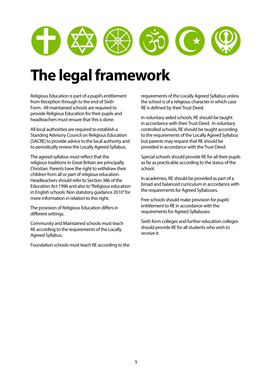

## **The legal framework**

Religious Education is part of a pupil's entitlement from Reception through to the end of Sixth Form. All maintained schools are required to provide Religious Education for their pupils and headteachers must ensure that this is done.

All local authorities are required to establish a Standing Advisory Council on Religious Education [SACRE] to provide advice to the local authority and to periodically review the Locally Agreed Syllabus.

The agreed syllabus must reflect that the religious traditions in Great Britain are principally Christian. Parents have the right to withdraw their children from all or part of religious education. Headteachers should refer to Section 386 of the Education Act 1996 and also to "Religious education in English schools: Non statutory guidance 2010" for more information in relation to this right.

The provision of Religious Education differs in different settings.

Community and Maintained schools must teach RE according to the requirements of the Locally Agreed Syllabus.

Foundation schools must teach RE according to the

requirements of the Locally Agreed Syllabus unless the school is of a religious character in which case RE is defined by their Trust Deed.

In voluntary aided schools, RE should be taught in accordance with their Trust Deed. In voluntary controlled schools, RE should be taught according to the requirements of the Locally Agreed Syllabus but parents may request that RE should be provided in accordance with the Trust Deed.

Special schools should provide RE for all their pupils as far as practicable according to the status of the school.

In academies, RE should be provided as part of a broad and balanced curriculum in accordance with the requirements for Agreed Syllabuses.

Free schools should make provision for pupils' entitlement to RE in accordance with the requirements for Agreed Syllabuses.

Sixth form colleges and further education colleges should provide RE for all students who wish to receive it.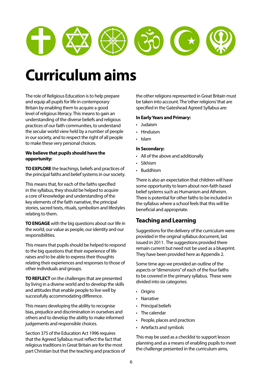

## **Curriculum aims**

The role of Religious Education is to help prepare and equip all pupils for life in contemporary Britain by enabling them to acquire a good level of religious literacy. This means to gain an understanding of the diverse beliefs and religious practices of our faith communities, to understand the secular world view held by a number of people in our society, and to respect the right of all people to make these very personal choices.

#### **We believe that pupils should have the opportunity:**

**TO EXPLORE** the teachings, beliefs and practices of the principal faiths and belief systems in our society.

This means that, for each of the faiths specified in the syllabus, they should be helped to acquire a core of knowledge and understanding of the key elements of the faith narrative, the principal stories, sacred texts, rituals, symbolism and lifestyles relating to them.

**TO ENGAGE** with the big questions about our life in the world, our value as people, our identity and our responsibilities.

This means that pupils should be helped to respond to the big questions that their experience of life raises and to be able to express their thoughts relating their experiences and responses to those of other individuals and groups.

**TO REFLECT** on the challenges that are presented by living in a diverse world and to develop the skills and attitudes that enable people to live well by successfully accommodating difference.

This means developing the ability to recognise bias, prejudice and discrimination in ourselves and others and to develop the ability to make informed judgements and responsible choices.

Section 375 of the Education Act 1996 requires that the Agreed Syllabus must reflect the fact that religious traditions in Great Britain are for the most part Christian but that the teaching and practices of the other religions represented in Great Britain must be taken into account. The 'other religions' that are specified in the Gateshead Agreed Syllabus are:

#### **In Early Years and Primary:**

- Judaism
- Hinduism
- Islam

#### **In Secondary:**

- All of the above and additionally
- Sikhism
- Buddhism

There is also an expectation that children will have some opportunity to learn about non-faith based belief systems such as Humanism and Atheism. There is potential for other faiths to be included in the syllabus where a school feels that this will be beneficial and appropriate.

#### **Teaching and Learning**

Suggestions for the delivery of the curriculum were provided in the original syllabus document, last issued in 2011. The suggestions provided there remain current but need not be used as a blueprint. They have been provided here as Appendix 2.

Some time ago we provided an outline of the aspects or "dimensions" of each of the four faiths to be covered in the primary syllabus. These were divided into six categories:

- Origins
- Narrative
- Principal beliefs
- The calendar
- People, places and practices
- Artefacts and symbols

This may be used as a checklist to support lesson planning and as a means of enabling pupils to meet the challenge presented in the curriculum aims,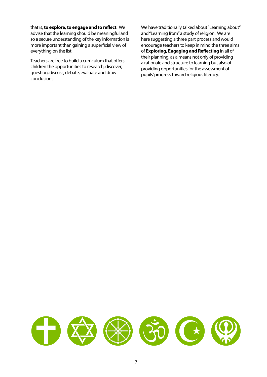that is, **to explore, to engage and to reflect**. We advise that the learning should be meaningful and so a secure understanding of the key information is more important than gaining a superficial view of everything on the list.

Teachers are free to build a curriculum that offers children the opportunities to research, discover, question, discuss, debate, evaluate and draw conclusions.

We have traditionally talked about "Learning about" and "Learning from" a study of religion. We are here suggesting a three part process and would encourage teachers to keep in mind the three aims of **Exploring, Engaging and Reflecting** in all of their planning, as a means not only of providing a rationale and structure to learning but also of providing opportunities for the assessment of pupils' progress toward religious literacy.

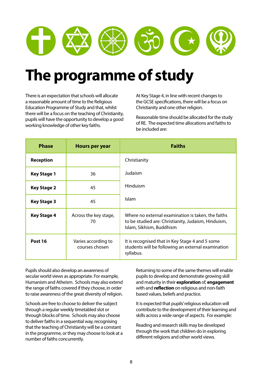

## **The programme of study**

There is an expectation that schools will allocate a reasonable amount of time to the Religious Education Programme of Study and that, whilst there will be a focus on the teaching of Christianity, pupils will have the opportunity to develop a good working knowledge of other key faiths.

At Key Stage 4, in line with recent changes to the GCSE specifications, there will be a focus on Christianity and one other religion.

Reasonable time should be allocated for the study of RE. The expected time allocations and faiths to be included are:

| <b>Phase</b>       | <b>Hours per year</b>                 | <b>Faiths</b>                                                                                                                         |  |
|--------------------|---------------------------------------|---------------------------------------------------------------------------------------------------------------------------------------|--|
| <b>Reception</b>   |                                       | Christianity                                                                                                                          |  |
| <b>Key Stage 1</b> | 36                                    | Judaism                                                                                                                               |  |
| <b>Key Stage 2</b> | 45                                    | Hinduism                                                                                                                              |  |
| <b>Key Stage 3</b> | 45                                    | <b>Islam</b>                                                                                                                          |  |
| <b>Key Stage 4</b> | Across the key stage,<br>70           | Where no external examination is taken, the faiths<br>to be studied are: Christianity, Judaism, Hinduism,<br>Islam, Sikhism, Buddhism |  |
| Post 16            | Varies according to<br>courses chosen | It is recognised that in Key Stage 4 and 5 some<br>students will be following an external examination<br>syllabus.                    |  |

Pupils should also develop an awareness of secular world views as appropriate. For example, Humanism and Atheism. Schools may also extend the range of faiths covered if they choose, in order to raise awareness of the great diversity of religion.

Schools are free to choose to deliver the subject through a regular weekly timetabled slot or through blocks of time. Schools may also choose to deliver faiths in a sequential way, recognising that the teaching of Christianity will be a constant in the programme, or they may choose to look at a number of faiths concurrently.

Returning to some of the same themes will enable pupils to develop and demonstrate growing skill and maturity in their **exploration** of, **engagement**  with and **reflection** on religious and non-faith based values, beliefs and practice.

It is expected that pupils' religious education will contribute to the development of their learning and skills across a wide range of aspects. For example:

Reading and research skills may be developed through the work that children do in exploring different religions and other world views.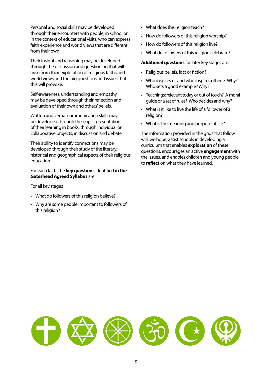Personal and social skills may be developed through their encounters with people, in school or in the context of educational visits, who can express faith experience and world views that are different from their own.

Their insight and reasoning may be developed through the discussion and questioning that will arise from their exploration of religious faiths and world views and the big questions and issues that this will provoke.

Self-awareness, understanding and empathy may be developed through their reflection and evaluation of their own and others' beliefs.

Written and verbal communication skills may be developed through the pupils' presentation of their learning in books, through individual or collaborative projects, in discussion and debate.

Their ability to identify connections may be developed through their study of the literary, historical and geographical aspects of their religious education.

For each faith, the **key questions** identified **in the Gateshead Agreed Syllabus** are:

For all key stages

- What do followers of this religion believe?
- Why are some people important to followers of this religion?
- What does this religion teach?
- How do followers of this religion worship?
- How do followers of this religion live?
- What do followers of this religion celebrate?

**Additional questions** for later key stages are:

- Religious beliefs, fact or fiction?
- Who inspires us and who inspires others? Why? Who sets a good example? Why?
- Teachings: relevant today or out of touch? A moral guide or a set of rules? Who decides and why?
- What is it like to live the life of a follower of a religion?
- What is the meaning and purpose of life?

The information provided in the grids that follow will, we hope, assist schools in developing a curriculum that enables **exploration** of these questions, encourages an active **engagement** with the issues, and enables children and young people to **reflect** on what they have learned.

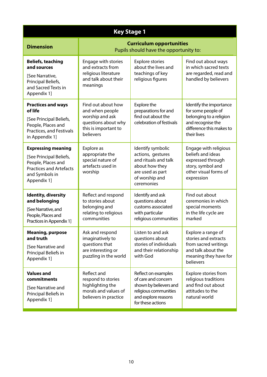| <b>Key Stage 1</b>                                                                                                                            |                                                                                                                      |                                                                                                                                           |                                                                                                                                          |
|-----------------------------------------------------------------------------------------------------------------------------------------------|----------------------------------------------------------------------------------------------------------------------|-------------------------------------------------------------------------------------------------------------------------------------------|------------------------------------------------------------------------------------------------------------------------------------------|
| <b>Dimension</b>                                                                                                                              | <b>Curriculum opportunities</b><br>Pupils should have the opportunity to:                                            |                                                                                                                                           |                                                                                                                                          |
| <b>Beliefs, teaching</b><br>and sources<br>[See Narrative,<br>Principal Beliefs,<br>and Sacred Texts in<br>Appendix 1]                        | Engage with stories<br>and extracts from<br>religious literature<br>and talk about their<br>meanings                 | <b>Explore stories</b><br>about the lives and<br>teachings of key<br>religious figures                                                    | Find out about ways<br>in which sacred texts<br>are regarded, read and<br>handled by believers                                           |
| <b>Practices and ways</b><br>of life<br>[See Principal Beliefs,<br>People, Places and<br>Practices, and Festivals<br>in Appendix 1]           | Find out about how<br>and when people<br>worship and ask<br>questions about why<br>this is important to<br>believers | Explore the<br>preparations for and<br>find out about the<br>celebration of festivals                                                     | Identify the importance<br>for some people of<br>belonging to a religion<br>and recognise the<br>difference this makes to<br>their lives |
| <b>Expressing meaning</b><br>[See Principal Beliefs,<br>People, Places and<br><b>Practices and Artefacts</b><br>and Symbols in<br>Appendix 1] | Explore as<br>appropriate the<br>special nature of<br>artefacts used in<br>worship                                   | Identify symbolic<br>actions, gestures<br>and rituals and talk<br>about how they<br>are used as part<br>of worship and<br>ceremonies      | Engage with religious<br>beliefs and ideas<br>expressed through<br>story, symbol and<br>other visual forms of<br>expression              |
| <b>Identity, diversity</b><br>and belonging<br>[See Narrative, and<br>People, Places and<br>Practices in Appendix 1]                          | Reflect and respond<br>to stories about<br>belonging and<br>relating to religious<br>communities                     | Identify and ask<br>questions about<br>customs associated<br>with particular<br>religious communities                                     | Find out about<br>ceremonies in which<br>special moments<br>in the life cycle are<br>marked                                              |
| <b>Meaning, purpose</b><br>and truth<br><b>See Narrative and</b><br>Principal Beliefs in<br>Appendix 1]                                       | Ask and respond<br>imaginatively to<br>questions that<br>are interesting or<br>puzzling in the world                 | Listen to and ask<br>questions about<br>stories of individuals<br>and their relationship<br>with God                                      | Explore a range of<br>stories and extracts<br>from sacred writings<br>and talk about the<br>meaning they have for<br>believers           |
| <b>Values and</b><br>commitments<br>[See Narrative and<br>Principal Beliefs in<br>Appendix 1]                                                 | Reflect and<br>respond to stories<br>highlighting the<br>morals and values of<br>believers in practice               | Reflect on examples<br>of care and concern<br>shown by believers and<br>religious communities<br>and explore reasons<br>for these actions | Explore stories from<br>religious traditions<br>and find out about<br>attitudes to the<br>natural world                                  |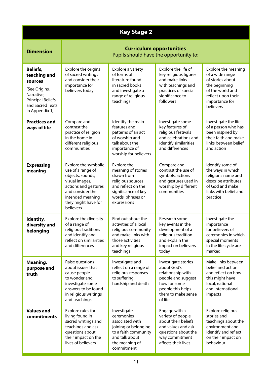| <b>Key Stage 2</b>                                                                                                                    |                                                                                                                                                                                     |                                                                                                                                                       |                                                                                                                                                     |                                                                                                                                                      |
|---------------------------------------------------------------------------------------------------------------------------------------|-------------------------------------------------------------------------------------------------------------------------------------------------------------------------------------|-------------------------------------------------------------------------------------------------------------------------------------------------------|-----------------------------------------------------------------------------------------------------------------------------------------------------|------------------------------------------------------------------------------------------------------------------------------------------------------|
| <b>Dimension</b>                                                                                                                      | <b>Curriculum opportunities</b><br>Pupils should have the opportunity to:                                                                                                           |                                                                                                                                                       |                                                                                                                                                     |                                                                                                                                                      |
| <b>Beliefs,</b><br>teaching and<br>sources<br>[See Origins,<br>Narrative,<br>Principal Beliefs,<br>and Sacred Texts<br>in Appendix 1] | Explore the origins<br>of sacred writings<br>and consider their<br>importance for<br>believers today                                                                                | Explore a variety<br>of forms of<br>literature found<br>in sacred books<br>and investigate a<br>range of religious<br>teachings                       | Explore the life of<br>key religious figures<br>and make links<br>with teachings and<br>practices of special<br>significance to<br>followers        | Explore the meaning<br>of a wide range<br>of stories about<br>the beginning<br>of the world and<br>reflect upon their<br>importance for<br>believers |
| <b>Practices and</b><br>ways of life                                                                                                  | Compare and<br>contrast the<br>practice of religion<br>in the home in<br>different religious<br>communities                                                                         | Identify the main<br>features and<br>patterns of an act<br>of worship and<br>talk about the<br>importance of<br>worship for believers                 | Investigate some<br>key features of<br>religious festivals<br>and celebrations and<br>identify similarities<br>and differences                      | Investigate the life<br>of a person who has<br>been inspired by<br>their faith and make<br>links between belief<br>and action                        |
| <b>Expressing</b><br>meaning                                                                                                          | Explore the symbolic<br>use of a range of<br>objects, sounds,<br>visual images,<br>actions and gestures<br>and consider the<br>intended meaning<br>they might have for<br>believers | Explore the<br>meaning of stories<br>drawn from<br>religious sources<br>and reflect on the<br>significance of key<br>words, phrases or<br>expressions | Compare and<br>contrast the use of<br>symbols, actions<br>and gestures used in<br>worship by different<br>communities                               | Identify some of<br>the ways in which<br>religions name and<br>describe attributes<br>of God and make<br>links with belief and<br>practice           |
| Identity,<br>diversity and<br>belonging                                                                                               | Explore the diversity<br>of a range of<br>religious traditions<br>and identify and<br>reflect on similarities<br>and differences                                                    | Find out about the<br>activities of a local<br>religious community<br>and make links with<br>those activities<br>and key religious<br>teachings       | Research some<br>key events in the<br>development of a<br>religious tradition<br>and explain the<br>impact on believers<br>today                    | Investigate the<br>importance<br>for believers of<br>ceremonies in which<br>special moments<br>in the life cycle are<br>marked                       |
| Meaning,<br>purpose and<br>truth                                                                                                      | Raise questions<br>about issues that<br>cause people<br>to wonder and<br>investigate some<br>answers to be found<br>in religious writings<br>and teachings                          | Investigate and<br>reflect on a range of<br>religious responses<br>to suffering,<br>hardship and death                                                | Investigate stories<br>about God's<br>relationship with<br>people and suggest<br>how for some<br>people this helps<br>them to make sense<br>of life | Make links between<br>belief and action<br>and reflect on how<br>this might have<br>local, national<br>and international<br>impacts                  |
| <b>Values and</b><br>commitments                                                                                                      | Explore rules for<br>living found in<br>sacred writings and<br>teachings and ask<br>questions about<br>their impact on the<br>lives of believers                                    | Investigate<br>ceremonies<br>associated with<br>joining or belonging<br>to a faith community<br>and talk about<br>the meaning of<br>commitment        | Engage with a<br>variety of people<br>about their beliefs<br>and values and ask<br>questions about the<br>way commitment<br>affects their lives     | Explore religious<br>stories and<br>teachings about the<br>environment and<br>identify and reflect<br>on their impact on<br>behaviour                |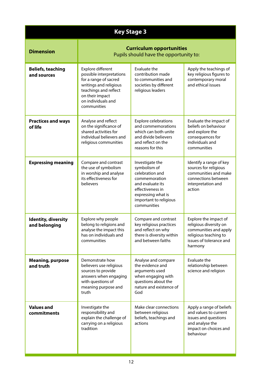| <b>Key Stage 3</b>                          |                                                                                                                                                                                   |                                                                                                                                                                            |                                                                                                                                         |  |
|---------------------------------------------|-----------------------------------------------------------------------------------------------------------------------------------------------------------------------------------|----------------------------------------------------------------------------------------------------------------------------------------------------------------------------|-----------------------------------------------------------------------------------------------------------------------------------------|--|
| <b>Dimension</b>                            |                                                                                                                                                                                   | <b>Curriculum opportunities</b><br>Pupils should have the opportunity to:                                                                                                  |                                                                                                                                         |  |
| <b>Beliefs, teaching</b><br>and sources     | Explore different<br>possible interpretations<br>for a range of sacred<br>writings and religious<br>teachings and reflect<br>on their impact<br>on individuals and<br>communities | Evaluate the<br>contribution made<br>to communities and<br>societies by different<br>religious leaders                                                                     | Apply the teachings of<br>key religious figures to<br>contemporary moral<br>and ethical issues                                          |  |
| <b>Practices and ways</b><br>of life        | Analyse and reflect<br>on the significance of<br>shared activities for<br>individual believers and<br>religious communities                                                       | <b>Explore celebrations</b><br>and commemorations<br>which can both unite<br>and divide believers<br>and reflect on the<br>reasons for this                                | Evaluate the impact of<br>beliefs on behaviour<br>and explore the<br>consequences for<br>individuals and<br>communities                 |  |
| <b>Expressing meaning</b>                   | Compare and contrast<br>the use of symbolism<br>in worship and analyse<br>its effectiveness for<br>believers                                                                      | Investigate the<br>symbolism of<br>celebration and<br>commemoration<br>and evaluate its<br>effectiveness in<br>expressing what is<br>important to religious<br>communities | Identify a range of key<br>sources for religious<br>communities and make<br>connections between<br>interpretation and<br>action         |  |
| <b>Identity, diversity</b><br>and belonging | Explore why people<br>belong to religions and<br>analyse the impact this<br>has on individuals and<br>communities                                                                 | Compare and contrast<br>key religious practices<br>and reflect on why<br>there is diversity within<br>and between faiths                                                   | Explore the impact of<br>religious diversity on<br>communities and apply<br>religious teaching to<br>issues of tolerance and<br>harmony |  |
| <b>Meaning, purpose</b><br>and truth        | Demonstrate how<br>believers use religious<br>sources to provide<br>answers when engaging<br>with questions of<br>meaning purpose and<br>truth                                    | Analyse and compare<br>the evidence and<br>arguments used<br>when engaging with<br>questions about the<br>nature and existence of<br>God                                   | Evaluate the<br>relationship between<br>science and religion                                                                            |  |
| <b>Values and</b><br>commitments            | Investigate the<br>responsibility and<br>explain the challenge of<br>carrying on a religious<br>tradition                                                                         | Make clear connections<br>between religious<br>beliefs, teachings and<br>actions                                                                                           | Apply a range of beliefs<br>and values to current<br>issues and questions<br>and analyse the<br>impact on choices and<br>behaviour      |  |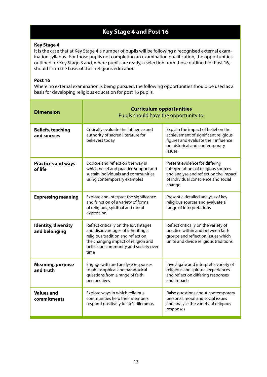#### **Key Stage 4 and Post 16**

#### **Key Stage 4**

It is the case that at Key Stage 4 a number of pupils will be following a recognised external examination syllabus. For those pupils not completing an examination qualification, the opportunities outlined for Key Stage 3 and, where pupils are ready, a selection from those outlined for Post 16, should form the basis of their religious education.

#### **Post 16**

Where no external examination is being pursued, the following opportunities should be used as a basis for developing religious education for post 16 pupils.

| <b>Dimension</b>                            | <b>Curriculum opportunities</b><br>Pupils should have the opportunity to:                                                                                                                               |                                                                                                                                                                  |  |
|---------------------------------------------|---------------------------------------------------------------------------------------------------------------------------------------------------------------------------------------------------------|------------------------------------------------------------------------------------------------------------------------------------------------------------------|--|
| <b>Beliefs, teaching</b><br>and sources     | Critically evaluate the influence and<br>authority of sacred literature for<br>believers today                                                                                                          | Explain the impact of belief on the<br>achievement of significant religious<br>figures and evaluate their influence<br>on historical and contemporary<br>issues  |  |
| <b>Practices and ways</b><br>of life        | Explore and reflect on the way in<br>which belief and practice support and<br>sustain individuals and communities<br>using contemporary examples                                                        | Present evidence for differing<br>interpretations of religious sources<br>and analyse and reflect on the impact<br>of individual conscience and social<br>change |  |
| <b>Expressing meaning</b>                   | Explore and interpret the significance<br>and function of a variety of forms<br>of religious, spiritual and moral<br>expression                                                                         | Present a detailed analysis of key<br>religious sources and evaluate a<br>range of interpretations                                                               |  |
| <b>Identity, diversity</b><br>and belonging | Reflect critically on the advantages<br>and disadvantages of inheriting a<br>religious tradition and reflect on<br>the changing impact of religion and<br>beliefs on community and society over<br>time | Reflect critically on the variety of<br>practice within and between faith<br>groups and reflect on issues which<br>unite and divide religious traditions         |  |
| <b>Meaning, purpose</b><br>and truth        | Engage with and analyse responses<br>to philosophical and paradoxical<br>questions from a range of faith<br>perspectives                                                                                | Investigate and interpret a variety of<br>religious and spiritual experiences<br>and reflect on differing responses<br>and impacts                               |  |
| <b>Values and</b><br>commitments            | Explore ways in which religious<br>communities help their members<br>respond positively to life's dilemmas                                                                                              | Raise questions about contemporary<br>personal, moral and social issues<br>and analyse the variety of religious<br>responses                                     |  |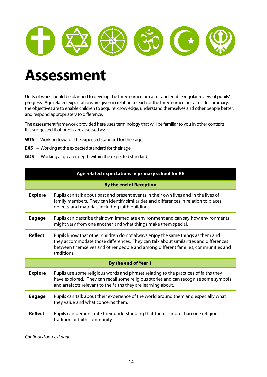

## **Assessment**

Units of work should be planned to develop the three curriculum aims and enable regular review of pupils' progress. Age related expectations are given in relation to each of the three curriculum aims. In summary, the objectives are to enable children to acquire knowledge, understand themselves and other people better, and respond appropriately to difference.

The assessment framework provided here uses terminology that will be familiar to you in other contexts. It is suggested that pupils are assessed as:

- **WTS**  Working towards the expected standard for their age
- **EXS**  Working at the expected standard for their age
- **GDS**  Working at greater depth within the expected standard

| Age related expectations in primary school for RE |                                                                                                                                                                                                                                                                             |  |  |
|---------------------------------------------------|-----------------------------------------------------------------------------------------------------------------------------------------------------------------------------------------------------------------------------------------------------------------------------|--|--|
|                                                   | <b>By the end of Reception</b>                                                                                                                                                                                                                                              |  |  |
| <b>Explore</b>                                    | Pupils can talk about past and present events in their own lives and in the lives of<br>family members. They can identify similarities and differences in relation to places,<br>objects, and materials including faith buildings.                                          |  |  |
| <b>Engage</b>                                     | Pupils can describe their own immediate environment and can say how environments<br>might vary from one another and what things make them special.                                                                                                                          |  |  |
| <b>Reflect</b>                                    | Pupils know that other children do not always enjoy the same things as them and<br>they accommodate those differences. They can talk about similarities and differences<br>between themselves and other people and among different families, communities and<br>traditions. |  |  |
|                                                   | By the end of Year 1                                                                                                                                                                                                                                                        |  |  |
| <b>Explore</b>                                    | Pupils use some religious words and phrases relating to the practices of faiths they<br>have explored. They can recall some religious stories and can recognise some symbols<br>and artefacts relevant to the faiths they are learning about.                               |  |  |
| <b>Engage</b>                                     | Pupils can talk about their experience of the world around them and especially what<br>they value and what concerns them.                                                                                                                                                   |  |  |
| <b>Reflect</b>                                    | Pupils can demonstrate their understanding that there is more than one religious<br>tradition or faith community.                                                                                                                                                           |  |  |

Continued on next page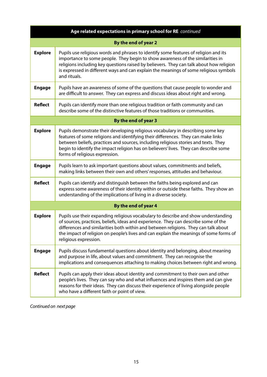|                | Age related expectations in primary school for RE continued                                                                                                                                                                                                                                                                                                                            |
|----------------|----------------------------------------------------------------------------------------------------------------------------------------------------------------------------------------------------------------------------------------------------------------------------------------------------------------------------------------------------------------------------------------|
|                | By the end of year 2                                                                                                                                                                                                                                                                                                                                                                   |
| <b>Explore</b> | Pupils use religious words and phrases to identify some features of religion and its<br>importance to some people. They begin to show awareness of the similarities in<br>religions including key questions raised by believers. They can talk about how religion<br>is expressed in different ways and can explain the meanings of some religious symbols<br>and rituals.             |
| <b>Engage</b>  | Pupils have an awareness of some of the questions that cause people to wonder and<br>are difficult to answer. They can express and discuss ideas about right and wrong.                                                                                                                                                                                                                |
| <b>Reflect</b> | Pupils can identify more than one religious tradition or faith community and can<br>describe some of the distinctive features of those traditions or communities.                                                                                                                                                                                                                      |
|                | By the end of year 3                                                                                                                                                                                                                                                                                                                                                                   |
| <b>Explore</b> | Pupils demonstrate their developing religious vocabulary in describing some key<br>features of some religions and identifying their differences. They can make links<br>between beliefs, practices and sources, including religious stories and texts. They<br>begin to identify the impact religion has on believers' lives. They can describe some<br>forms of religious expression. |
| <b>Engage</b>  | Pupils learn to ask important questions about values, commitments and beliefs,<br>making links between their own and others' responses, attitudes and behaviour.                                                                                                                                                                                                                       |
| <b>Reflect</b> | Pupils can identify and distinguish between the faiths being explored and can<br>express some awareness of their identity within or outside these faiths. They show an<br>understanding of the implications of living in a diverse society.                                                                                                                                            |
|                | By the end of year 4                                                                                                                                                                                                                                                                                                                                                                   |
| <b>Explore</b> | Pupils use their expanding religious vocabulary to describe and show understanding<br>of sources, practices, beliefs, ideas and experience. They can describe some of the<br>differences and similarities both within and between religions. They can talk about<br>the impact of religion on people's lives and can explain the meanings of some forms of<br>religious expression.    |
| <b>Engage</b>  | Pupils discuss fundamental questions about identity and belonging, about meaning<br>and purpose in life, about values and commitment. They can recognise the<br>implications and consequences attaching to making choices between right and wrong.                                                                                                                                     |
| <b>Reflect</b> | Pupils can apply their ideas about identity and commitment to their own and other<br>people's lives. They can say who and what influences and inspires them and can give<br>reasons for their ideas. They can discuss their experience of living alongside people<br>who have a different faith or point of view.                                                                      |

Continued on next page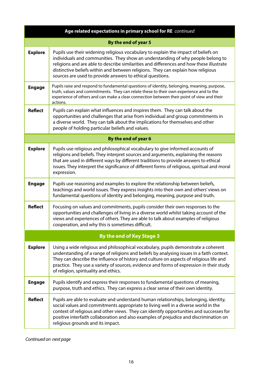|                | Age related expectations in primary school for RE continued                                                                                                                                                                                                                                                                                                                                                        |
|----------------|--------------------------------------------------------------------------------------------------------------------------------------------------------------------------------------------------------------------------------------------------------------------------------------------------------------------------------------------------------------------------------------------------------------------|
|                | By the end of year 5                                                                                                                                                                                                                                                                                                                                                                                               |
| <b>Explore</b> | Pupils use their widening religious vocabulary to explain the impact of beliefs on<br>individuals and communities. They show an understanding of why people belong to<br>religions and are able to describe similarities and differences and how these illustrate<br>distinctive beliefs within and between religions. They can explain how religious<br>sources are used to provide answers to ethical questions. |
| <b>Engage</b>  | Pupils raise and respond to fundamental questions of identity, belonging, meaning, purpose,<br>truth, values and commitments. They can relate these to their own experience and to the<br>experience of others and can make a clear connection between their point of view and their<br>actions.                                                                                                                   |
| <b>Reflect</b> | Pupils can explain what influences and inspires them. They can talk about the<br>opportunities and challenges that arise from individual and group commitments in<br>a diverse world. They can talk about the implications for themselves and other<br>people of holding particular beliefs and values.                                                                                                            |
|                | By the end of year 6                                                                                                                                                                                                                                                                                                                                                                                               |
| <b>Explore</b> | Pupils use religious and philosophical vocabulary to give informed accounts of<br>religions and beliefs. They interpret sources and arguments, explaining the reasons<br>that are used in different ways by different traditions to provide answers to ethical<br>issues. They interpret the significance of different forms of religious, spiritual and moral<br>expression.                                      |
| <b>Engage</b>  | Pupils use reasoning and examples to explore the relationship between beliefs,<br>teachings and world issues. They express insights into their own and others' views on<br>fundamental questions of identity and belonging, meaning, purpose and truth.                                                                                                                                                            |
| <b>Reflect</b> | Focusing on values and commitments, pupils consider their own responses to the<br>opportunities and challenges of living in a diverse world whilst taking account of the<br>views and experiences of others. They are able to talk about examples of religious<br>cooperation, and why this is sometimes difficult.                                                                                                |
|                | <b>By the end of Key Stage 3</b>                                                                                                                                                                                                                                                                                                                                                                                   |
| <b>Explore</b> | Using a wide religious and philosophical vocabulary, pupils demonstrate a coherent<br>understanding of a range of religions and beliefs by analysing issues in a faith context.<br>They can describe the influence of history and culture on aspects of religious life and<br>practice. They use a variety of sources, evidence and forms of expression in their study<br>of religion, spirituality and ethics.    |
| <b>Engage</b>  | Pupils identify and express their responses to fundamental questions of meaning,<br>purpose, truth and ethics. They can express a clear sense of their own identity.                                                                                                                                                                                                                                               |
| <b>Reflect</b> | Pupils are able to evaluate and understand human relationships, belonging, identity,<br>social values and commitments appropriate to living well in a diverse world in the<br>context of religious and other views. They can identify opportunities and successes for<br>positive interfaith collaboration and also examples of prejudice and discrimination on<br>religious grounds and its impact.               |

Continued on next page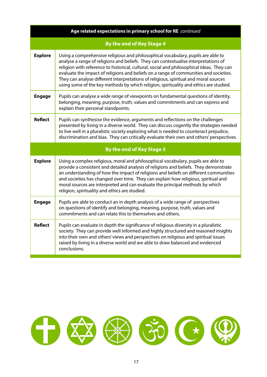|                | Age related expectations in primary school for RE continued                                                                                                                                                                                                                                                                                                                                                                                                                                                                                    |  |  |  |
|----------------|------------------------------------------------------------------------------------------------------------------------------------------------------------------------------------------------------------------------------------------------------------------------------------------------------------------------------------------------------------------------------------------------------------------------------------------------------------------------------------------------------------------------------------------------|--|--|--|
|                | <b>By the end of Key Stage 4</b>                                                                                                                                                                                                                                                                                                                                                                                                                                                                                                               |  |  |  |
| <b>Explore</b> | Using a comprehensive religious and philosophical vocabulary, pupils are able to<br>analyse a range of religions and beliefs. They can contextualise interpretations of<br>religion with reference to historical, cultural, social and philosophical ideas. They can<br>evaluate the impact of religions and beliefs on a range of communities and societies.<br>They can analyse different interpretations of religious, spiritual and moral sources<br>using some of the key methods by which religion, spirituality and ethics are studied. |  |  |  |
| <b>Engage</b>  | Pupils can analyse a wide range of viewpoints on fundamental questions of identity,<br>belonging, meaning, purpose, truth, values and commitments and can express and<br>explain their personal standpoints.                                                                                                                                                                                                                                                                                                                                   |  |  |  |
| <b>Reflect</b> | Pupils can synthesise the evidence, arguments and reflections on the challenges<br>presented by living in a diverse world. They can discuss cogently the strategies needed<br>to live well in a pluralistic society exploring what is needed to counteract prejudice,<br>discrimination and bias. They can critically evaluate their own and others' perspectives.                                                                                                                                                                             |  |  |  |
|                | <b>By the end of Key Stage 5</b>                                                                                                                                                                                                                                                                                                                                                                                                                                                                                                               |  |  |  |
| <b>Explore</b> | Using a complex religious, moral and philosophical vocabulary, pupils are able to<br>provide a consistent and detailed analysis of religions and beliefs. They demonstrate<br>an understanding of how the impact of religions and beliefs on different communities<br>and societies has changed over time. They can explain how religious, spiritual and<br>moral sources are interpreted and can evaluate the principal methods by which<br>religion, spirituality and ethics are studied.                                                    |  |  |  |
| <b>Engage</b>  | Pupils are able to conduct an in depth analysis of a wide range of perspectives<br>on questions of identify and belonging, meaning, purpose, truth, values and<br>commitments and can relate this to themselves and others.                                                                                                                                                                                                                                                                                                                    |  |  |  |
| <b>Reflect</b> | Pupils can evaluate in depth the significance of religious diversity in a pluralistic<br>society. They can provide well informed and highly structured and reasoned insights<br>into their own and others' views and perspectives on religious and spiritual issues<br>raised by living in a diverse world and are able to draw balanced and evidenced                                                                                                                                                                                         |  |  |  |

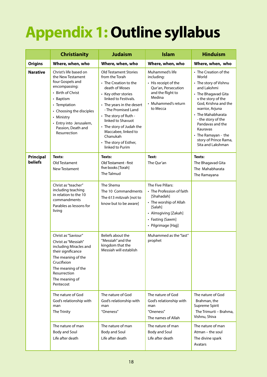## **Appendix 1: Outline syllabus**

|                 | <b>Christianity</b>                                                                                                                                                                                                                           | <b>Judaism</b>                                                                                                                                                                                                                                                                                                                                                            | <b>Islam</b>                                                                                                                                                         | <b>Hinduism</b>                                                                                                                                                                                                                                                                                                |
|-----------------|-----------------------------------------------------------------------------------------------------------------------------------------------------------------------------------------------------------------------------------------------|---------------------------------------------------------------------------------------------------------------------------------------------------------------------------------------------------------------------------------------------------------------------------------------------------------------------------------------------------------------------------|----------------------------------------------------------------------------------------------------------------------------------------------------------------------|----------------------------------------------------------------------------------------------------------------------------------------------------------------------------------------------------------------------------------------------------------------------------------------------------------------|
| <b>Origins</b>  | Where, when, who                                                                                                                                                                                                                              | Where, when, who                                                                                                                                                                                                                                                                                                                                                          | Where, when, who                                                                                                                                                     | Where, when, who                                                                                                                                                                                                                                                                                               |
| <b>Narative</b> | Christ's life based on<br>the New Testament<br>four Gospels and<br>encompassing:<br>• Birth of Christ<br>• Baptism<br>• Temptation<br>• Choosing the disciples<br>• Ministry<br>• Entry into Jerusalem,<br>Passion, Death and<br>Resurrection | <b>Old Testament Stories</b><br>from the Torah<br>$\boldsymbol{\cdot}$ The Creation to the<br>death of Moses<br>• Key other stories<br>linked to Festivals.<br>• The years in the desert<br>- The Promised Land<br>• The story of Ruth -<br>linked to Shavuot<br>• The story of Judah the<br>Maccabee, linked to<br>Chanukah<br>• The story of Esther,<br>linked to Purim | Muhammed's life<br>including:<br>• His receipt of the<br>Qur'an, Persecution<br>and the flight to<br>Medina<br>• Muhammed's return<br>to Mecca                       | • The Creation of the<br>World<br>• The story of Vishnu<br>and Lakshmi<br>• The Bhagavad Gita<br>v the story of the<br>God, Krishna and the<br>warrior, Arjuna<br>• The Mahabharata<br>- the story of the<br>Pandavas and the<br>Kauravas<br>• The Ramayan - the<br>story of Prince Rama,<br>Sita and Lakshman |
| Principal       | Texts:                                                                                                                                                                                                                                        | Texts:                                                                                                                                                                                                                                                                                                                                                                    | Text:                                                                                                                                                                | Texts:                                                                                                                                                                                                                                                                                                         |
| <b>beliefs</b>  | Old Testament<br>New Testament                                                                                                                                                                                                                | Old Testament - first<br>five books [Torah]<br>The Talmud                                                                                                                                                                                                                                                                                                                 | The Qur'an                                                                                                                                                           | The Bhagavad Gita<br>The Mahabharata<br>The Ramayana                                                                                                                                                                                                                                                           |
|                 | Christ as "teacher"<br>including teaching<br>in relation to the 10<br>commandments<br>Parables as lessons for<br>living                                                                                                                       | The Shema<br>The 10 Commandments<br>The 613 mitzvah [not to<br>know but to be aware]                                                                                                                                                                                                                                                                                      | The Five Pillars:<br>• The Profession of faith<br>[Shahadah]<br>• The worship of Allah<br>[Salah]<br>• Almsgiving [Zakah]<br>• Fasting (Sawm]<br>· Pilgrimage [Hajj] |                                                                                                                                                                                                                                                                                                                |
|                 | Christ as "Saviour"<br>Christ as "Messiah"<br>including Miracles and<br>their significance<br>The meaning of the<br>Crucifixion<br>The meaning of the<br>Resurrection<br>The meaning of<br>Pentecost                                          | Beliefs about the<br>"Messiah" and the<br>kingdom that the<br>Messiah will establish                                                                                                                                                                                                                                                                                      | Muhammed as the "last"<br>prophet                                                                                                                                    |                                                                                                                                                                                                                                                                                                                |
|                 | The nature of God<br>God's relationship with<br>man<br>The Trinity                                                                                                                                                                            | The nature of God<br>God's relationship with<br>man<br>"Oneness"                                                                                                                                                                                                                                                                                                          | The nature of God<br>God's relationship with<br>man<br>"Oneness"<br>The names of Allah                                                                               | The nature of God<br>Brahman, the<br>Supreme Spirit<br>The Trimurti - Brahma,<br>Vishnu, Shiva                                                                                                                                                                                                                 |
|                 | The nature of man<br><b>Body and Soul</b><br>Life after death                                                                                                                                                                                 | The nature of man<br><b>Body and Soul</b><br>Life after death                                                                                                                                                                                                                                                                                                             | The nature of man<br><b>Body and Soul</b><br>Life after death                                                                                                        | The nature of man<br>Atman – the soul<br>The divine spark<br>Avatars                                                                                                                                                                                                                                           |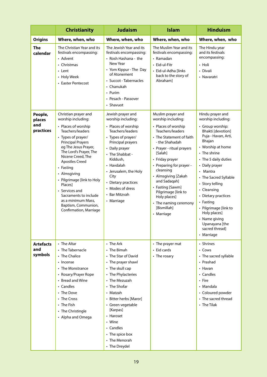|                                       | <b>Christianity</b>                                                                                                                                                                                                                                                                                                                                                                                                             | <b>Judaism</b>                                                                                                                                                                                                                                                                                                  | <b>Islam</b>                                                                                                                                                                                                                                                                                                                                                                                 | <b>Hinduism</b>                                                                                                                                                                                                                                                                                                                                                                                                              |
|---------------------------------------|---------------------------------------------------------------------------------------------------------------------------------------------------------------------------------------------------------------------------------------------------------------------------------------------------------------------------------------------------------------------------------------------------------------------------------|-----------------------------------------------------------------------------------------------------------------------------------------------------------------------------------------------------------------------------------------------------------------------------------------------------------------|----------------------------------------------------------------------------------------------------------------------------------------------------------------------------------------------------------------------------------------------------------------------------------------------------------------------------------------------------------------------------------------------|------------------------------------------------------------------------------------------------------------------------------------------------------------------------------------------------------------------------------------------------------------------------------------------------------------------------------------------------------------------------------------------------------------------------------|
| <b>Origins</b>                        | Where, when, who                                                                                                                                                                                                                                                                                                                                                                                                                | Where, when, who                                                                                                                                                                                                                                                                                                | Where, when, who                                                                                                                                                                                                                                                                                                                                                                             | Where, when, who                                                                                                                                                                                                                                                                                                                                                                                                             |
| <b>The</b><br>calendar                | The Christian Year and its<br>festivals encompassing:<br>• Advent<br>• Christmas<br>$\cdot$ Lent<br>• Holy Week<br>• Easter Pentecost                                                                                                                                                                                                                                                                                           | The Jewish Year and its<br>festivals encompassing:<br>• Rosh Hashana - the<br>New Year<br>• Yom Kippur - The Day<br>of Atonement<br>• Succot - Tabernacles<br>• Chanukah<br>• Purim<br>• Pesach - Passover<br>• Shavuot                                                                                         | The Muslim Year and its<br>festivals encompassing:<br>• Ramadan<br>• Eid-ul-Fitr<br>· Eid-ul-Adha Ilinks<br>back to the story of<br>Abraham]                                                                                                                                                                                                                                                 | The Hindu year<br>and its festivals<br>encompassing:<br>• Holi<br>• Divali<br>• Navaratri                                                                                                                                                                                                                                                                                                                                    |
| People,<br>places<br>and<br>practices | Christian prayer and<br>worship including:<br>• Places of worship<br>Teachers/leaders<br>• Types of prayer/<br><b>Principal Prayers</b><br>eg The Jesus Prayer,<br>The Lord's Prayer, The<br>Nicene Creed, The<br><b>Apostles Creed</b><br>• Fasting<br>• Almsgiving<br>• Pilgrimage [link to Holy<br>Places]<br>• Services and<br>Sacraments to include<br>as a minimum Mass,<br>Baptism, Communion,<br>Confirmation, Marriage | Jewish prayer and<br>worship including:<br>• Places of worship<br>Teachers/leaders<br>• Types of prayer/<br>Principal prayers<br>• Daily prayer<br>• The Shabbat -<br>Kiddush.<br>• Havdalah<br>• Jerusalem, the Holy<br>City<br>• Dietary practices<br>• Modes of dress<br>• Bar Mitzvah<br>• Marriage         | Muslim prayer and<br>worship including:<br>• Places of worship<br>Teachers/leaders<br>• The Statement of faith<br>- the Shahadah<br>• Prayer - ritual prayers<br>[Salah]<br>• Friday prayer<br>• Preparing for prayer -<br>cleansing<br>• Almsgiving [Zakah<br>and Sadaqah]<br>• Fasting [Sawm]<br>Pilgrimage [link to<br>Holy places]<br>• The naming ceremony<br>[Bismillah]<br>• Marriage | Hindu prayer and<br>worship including:<br>• Group worship:<br>Bhakti [devotion]<br>Puja - Havan, Arti,<br>Bhajan<br>• Worship at home<br>$\cdot$ The shrine<br>• The 5 daily duties<br>• Daily prayer<br>• Mantra<br>• The Sacred Syllable<br>• Story telling<br>• Cleansing<br>• Dietary practices<br>• Fasting<br>• Pilgrimage [link to<br>Holy places]<br>• Name giving<br>Upanayana [the<br>sacred thread]<br>• Marriage |
| <b>Artefacts</b><br>and<br>symbols    | • The Altar<br>• The Tabernacle<br>• The Chalice<br>• Incense<br>• The Monstrance<br>• Rosary/Prayer Rope<br>• Bread and Wine<br>• Candles<br>• The Dove<br>• The Cross<br>• The Fish<br>• The Christingle<br>• Alpha and Omega                                                                                                                                                                                                 | • The Ark<br>• The Bimah<br>• The Star of David<br>• The prayer shawl<br>• The skull cap<br>• The Phylacteries<br>• The Mezuzah<br>• The Shofar<br>• Matzah<br>• Bitter herbs [Maror]<br>• Green vegetable<br>[Karpas]<br>• Haroset<br>• Wine<br>• Candles<br>• The spice box<br>• The Menorah<br>• The Dreydel | • The prayer mat<br>• Eid cards<br>• The rosary                                                                                                                                                                                                                                                                                                                                              | • Shrines<br>• Cows<br>• The sacred syllable<br>• Prashad<br>• Havan<br>• Candles<br>• Fire<br>• Mandala<br>• Coloured powder<br>• The sacred thread<br>$\cdot$ The Tilak                                                                                                                                                                                                                                                    |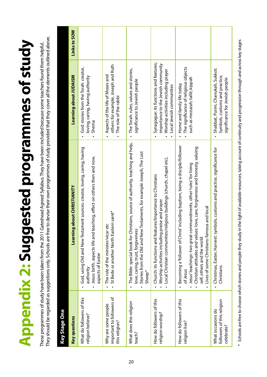# **Appendix 2: Suggested programmes of study Appendix 2: Suggested programmes of study**

They should be regarded as suggestions only. Schools are free to devise their own programmes of study provided that they cover all the elements outlined above. They should be regarded as suggestions only. Schools are free to devise their own programmes of study provided that they cover all the elements outlined above. These programmes of study have been taken from the 2011 Gateshead Agreed Syllabus. They have been included because some teachers found them helpful. These programmes of study have been taken from the 2011 Gateshead Agreed Syllabus. They have been included because some teachers found them helpful.

| <b>Key questions</b>                                               | Learning about CHRISTIANITY                                                                                                                                                                                                                                                                                                                | Learning about JUDAISM                                                                                                                          | Links to SOW |
|--------------------------------------------------------------------|--------------------------------------------------------------------------------------------------------------------------------------------------------------------------------------------------------------------------------------------------------------------------------------------------------------------------------------------|-------------------------------------------------------------------------------------------------------------------------------------------------|--------------|
| What do followers of this<br>religion believe?                     | God, using Old and New Testament sources: creator, loving, caring, having<br>Jesus: birth, aspects life and teaching, effect on others then and now,<br>aspects of Easter<br>authority                                                                                                                                                     | God: stories from the Torah: creator,<br>loving, caring, having authority<br>Shema                                                              |              |
| important to followers of<br>Why are some people<br>this religion? | St Bede or another North Eastern saint*<br>The role of the minister/vicar etc                                                                                                                                                                                                                                                              | others: for example, Joseph and Ruth<br>Aspects of the life of Moses and<br>The role of the rabbi                                               |              |
| What does this religion<br>teach?                                  | The Bible: special book for Christians, source of authority, teaching and help,<br>Stories from the Old and New Testaments, for example Joseph, The Lost<br>love, caring, trust, forgiveness<br>Sheep*                                                                                                                                     | The Torah: rules, values and stories,<br>significance to Jewish people                                                                          |              |
| How do followers of this<br>religion worship?                      | Local Christian communities/religious buildings (church, chapel etc),<br>Church: its functions and features/Importance to Christians<br>Worship activities including praise and prayer                                                                                                                                                     | Synagogue: its functions and features;<br>importance to the Jewish community<br>Worship activities including prayer<br>Local Jewish communities |              |
| How do followers of this<br>religion live?                         | Becoming a 'follower of Christ' including baptism, being a disciple/follower<br>love, care, forgiveness and honesty, valuing<br>Jesus' teachings: two great commandments, other' rules' for living<br>Lives of some Christians: famous and local<br>Christian attitudes and values:<br>self, others and the world<br>of Jesus<br>$\bullet$ | The significance of religious objects<br>such as mezuzah; tallit; kippah<br>Home and family life today                                          |              |
| followers of this religion<br>What occasions do<br>celebrate?      | Christmas, Easter, Harvest: symbols, customs and practice, significance for<br>Christians<br>$\bullet$                                                                                                                                                                                                                                     | Shabbat, Purim, Chanukah, Sukkot:<br>Symbols, customs and practice,<br>significance for Jewish people                                           |              |
|                                                                    |                                                                                                                                                                                                                                                                                                                                            |                                                                                                                                                 |              |

 $^*$  Schools are free to choose which stories and people they study in the light of available resources, taking account of continuity and progression through and across key stages

 $\ast$ 

Schools are free to choose which stories and people they study in the light of available resources, taking account of continuity and progression through and across key stages

20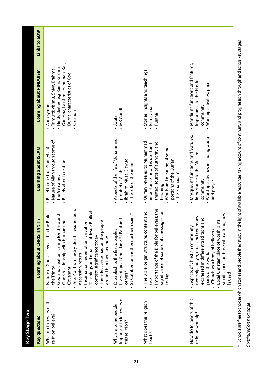| <b>Key questions</b>                                               | Learning about CHRISTIANITY                                                                                                                                                                                                                                                                                                                                                                                             | Learning about ISLAM                                                                                                                                                                         | Learning about HINDUISM                                                                                                                                                                        | Links to SOW |
|--------------------------------------------------------------------|-------------------------------------------------------------------------------------------------------------------------------------------------------------------------------------------------------------------------------------------------------------------------------------------------------------------------------------------------------------------------------------------------------------------------|----------------------------------------------------------------------------------------------------------------------------------------------------------------------------------------------|------------------------------------------------------------------------------------------------------------------------------------------------------------------------------------------------|--------------|
| What do followers of this<br>religion believe?                     | Jesus' birth, ministry, death, resurrection,<br>· Teachings and miracles of Jesus: Biblical<br>. Nature of God: as revealed in the Bible:<br>• God and creation: caring for the world<br>· God's relationship with humankind:<br>. The effect Jesus had on the people<br>· Incarnation, redemption, salvation<br>context; significance today<br>around him then and now<br>ascension, return<br>the Trinity<br>Covenant | • Nature of Allah through some of<br>- Belief in one true God (Allah)<br>- Beliefs about creation<br>the 99 names                                                                            | Ganesha, Lakshmi, Hanuman, Kali,<br>Hindu deities: e.g Rama, Krishna,<br>· Trimurti: Vishnu, Shiva, Brahma<br>Durga: characteristics of God;<br>Aum symbol<br>Creation<br>$\ddot{\phantom{0}}$ |              |
| important to followers of<br>Why are some people<br>this religion? | n saint*<br>I and<br>. Lives of great Christians: St Pau<br>St Cuthbert or another norther<br>Discipleship: the first disciples<br>others*                                                                                                                                                                                                                                                                              | • Aspects of the life of Muhammad,<br>· Ibrahim, Musa, Dawud<br>. The role of the imam<br>prophet of Allah                                                                                   | . MK Gandhi<br>· Avatar                                                                                                                                                                        |              |
| What does this religion<br>teach?                                  | evers; the<br>. The Bible: origin, structure, content and<br>significance of some of its messages for<br>. Importance of the Bible for beli<br>today<br>use                                                                                                                                                                                                                                                             | • Qur'an: revealed to Muhammad;<br>treated; source of authority and<br>importance; how it is used and<br>. Words and meaning of some<br>portions of the Qur'an<br>The 'Shahadah'<br>teaching | Stories: insights and teachings<br>Ramayana<br>Purana<br>$\bullet$                                                                                                                             |              |
| How do followers of this<br>religion worship?                      | significance for those who attend; how it<br>(worship, prayer, ritual and ceremony)<br>expressed in different traditions and<br>- Local Christian place of worship: its<br>. Aspects of Christian community<br>'Church' as a body of believers<br>parts of the world.<br>is used                                                                                                                                        | • Mosque: its functions and features;<br>• Worship activities including wudu<br>importance to the Muslim<br>community<br>and prayer                                                          | • Mandir: its functions and features;<br>importance to the Hindu<br>• Worship activities: puja<br>community                                                                                    |              |
|                                                                    | Schools are free to choose which stories and people they ctudy in the light of available resources taking are from invasion through and across hearts are                                                                                                                                                                                                                                                               |                                                                                                                                                                                              |                                                                                                                                                                                                |              |

Schools are free to choose which stories and people they study in the light of available resources, taking account of continuity and progression through and across key stages \* Schools are free to choose which stories and people they study in the light of available resources, taking account of continuity and progression through and across key stages

# Continued on next page Continued on next page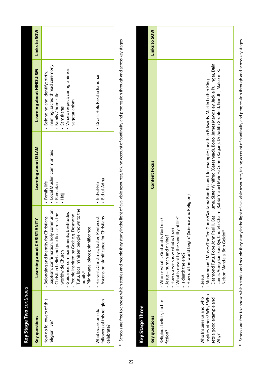| Ke <b>y Stage Two</b> continued                               |                                                                                                                                                                                                                                                                                                                                   |                                                                  |                                                                                                                                                                  |              |
|---------------------------------------------------------------|-----------------------------------------------------------------------------------------------------------------------------------------------------------------------------------------------------------------------------------------------------------------------------------------------------------------------------------|------------------------------------------------------------------|------------------------------------------------------------------------------------------------------------------------------------------------------------------|--------------|
| <b>Key questions</b>                                          | Learning about CHRISTIANITY                                                                                                                                                                                                                                                                                                       | Learning about ISLAM                                             | <b>Learning about HINDUISM</b>                                                                                                                                   | Links to SOW |
| How do followers of this<br>religion live?                    | Tutu, local minister, people known to the<br>baptism; confirmation; holy communion<br>· Guidance: commandments; beatitudes<br>· People inspired by God: e.g. Desmond<br>. Christian belief and practice across the<br>- Belonging and identity for Christians:<br>Pilgrimage: places; significance<br>worldwide Church<br>pupils* | · Local Muslim communities<br>· Family life<br>· Ramadan<br>ieH. | naming, sacred thread ceremony<br>· Values: respect; caring; ahimsa;<br>· Belonging and identify: birth,<br>· Family / home life<br>vegetarianism<br>· Samskaras |              |
| followers of this religion<br>What occasions do<br>celebrate? | • Harvest; Christmas; Easter; Pentecost;<br>Ascension: significance for Christians                                                                                                                                                                                                                                                | Eid-ul-Adha<br>Eid-ul-Fitr                                       | • Divali; Holi; Raksha Bandhan                                                                                                                                   |              |

\* Schools are free to choose which stories and people they study in the light of available resources, taking account of continuity and progression through and across key stages \* Schools are free to choose which stories and people they study in the light of available resources, taking account of continuity and progression through and across key stages

| Key Stage Three                                                                         |                                                                                                                                                                                                                                                                                                                                                                                                  |              |
|-----------------------------------------------------------------------------------------|--------------------------------------------------------------------------------------------------------------------------------------------------------------------------------------------------------------------------------------------------------------------------------------------------------------------------------------------------------------------------------------------------|--------------|
| <b>Key questions</b>                                                                    | <b>Content Focus</b>                                                                                                                                                                                                                                                                                                                                                                             | Links to SOW |
| Religious beliefs, fact or<br>fiction?                                                  | • How did the world begin? (Science and Religion)<br>• What is meant by the sanctity of life?<br>real?<br>• Who or what is God and is God<br>. How do we know what is true?<br>• Jesus - human and divine?<br>. Is death the end?                                                                                                                                                                |              |
| inspires others? Why? Who<br>Who Inspires us and who<br>sets a good example and<br>Why? | Desmond Tutu, Pope John Paul II, Basil Hume, Sister Winifred (Gateshead), Bono, James Mawdsley, Jackie Pullinger, Dalai<br>Lama, Aung San Suu Kyi, Chofetz Chaim (Rabbi Yisrael Meir HaCohen Kagan), Dr Judith Grunfeld, Gandhi, Malcolm X,<br>• Muhammad / Moses/The Ten Gurus/Gautama Buddha and, for example: Jonathan Edwards, Martin Luther King,<br>Nelson Mandela, Bob Geldof*<br>· Jesus |              |
|                                                                                         |                                                                                                                                                                                                                                                                                                                                                                                                  |              |

\* Schools are free to choose which stories and people they study in the light of available resources, taking account of continuity and progression through and across key stages  $^*$  Schools are free to choose which stories and people they study in the light of available resources, taking account of continuity and progression through and across key stages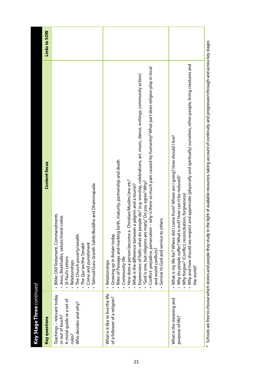| <b>Key Stage Three</b> continued                                                                              |                                                                                                                                                                                                                                                                                                                                                                                                                                                                                                                                                                                                                                              |                     |
|---------------------------------------------------------------------------------------------------------------|----------------------------------------------------------------------------------------------------------------------------------------------------------------------------------------------------------------------------------------------------------------------------------------------------------------------------------------------------------------------------------------------------------------------------------------------------------------------------------------------------------------------------------------------------------------------------------------------------------------------------------------------|---------------------|
| <b>Key questions</b>                                                                                          | Content focus                                                                                                                                                                                                                                                                                                                                                                                                                                                                                                                                                                                                                                | <b>Links to SOW</b> |
| Teachings - relevant today<br>A moral guide or a set of<br>Who decides and why?<br>or out of touch?<br>rules? | Talmud/Guru Granth Sahib/Buddha and Dhammapada<br>Bible: Old Testament, Commandments<br>codes<br>Jesus, Beatitudes, values/moral<br>The Church poverty/wealth<br>Crime and punishment<br>The Qur'an/the Tenakh<br>St Paul's Letters<br>Relationships                                                                                                                                                                                                                                                                                                                                                                                         |                     |
| What is it like to live the life<br>of a follower of a religion?                                              | - why is there so much pain caused by humanity? What part does religion play in local<br>Expressions of faith: what do people do? (e.g. worship, celebrations, art, music, dance, writings, community action)<br>Rites of Passage and marking birth, maturity, partnership and death<br>Christian/Muslim/Jew etc?<br>"God is one, but religions are many." Do you agree? Why?<br>What is the difference between a pilgrim and a tourist?<br>Service to God and service to others<br>Conflict: prejudice, persecution<br>How does a person become a<br>Growing up in Britain today<br>and world conflicts?<br>Community life<br>Relationships |                     |
| What is the meaning and<br>purpose of life?                                                                   | • Why and how should we respect and appreciate (physically and spiritually) ourselves, other people, living creatures and<br>come from? Where am I going? How should I live?<br>Why do people suffer? What is evil? How can it be reduced?<br>liation, forgiveness)<br>What is my life for? Where did I<br>Why forgive? (Conflict, reconcil<br>the world?                                                                                                                                                                                                                                                                                    |                     |
|                                                                                                               | Schools are free to choose which stories and people they study in the light of available resources, taking account of continuity and progression through and across key stages                                                                                                                                                                                                                                                                                                                                                                                                                                                               |                     |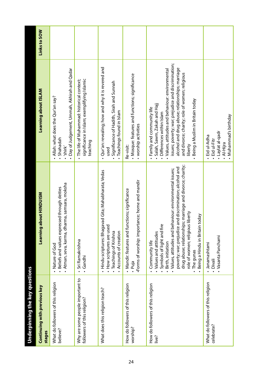| Underpinning the key questions                                  |                                                                                                                                                                                                                                                                                                                                                                              |                                                                                                                                                                                                                                                                                                                                                  |              |
|-----------------------------------------------------------------|------------------------------------------------------------------------------------------------------------------------------------------------------------------------------------------------------------------------------------------------------------------------------------------------------------------------------------------------------------------------------|--------------------------------------------------------------------------------------------------------------------------------------------------------------------------------------------------------------------------------------------------------------------------------------------------------------------------------------------------|--------------|
| Continuing with previous key<br>stages                          | about HINDUISM<br>Learning                                                                                                                                                                                                                                                                                                                                                   | Learning about ISLAM                                                                                                                                                                                                                                                                                                                             | Links to SOW |
| What do followers of this religion<br>believe?                  | iarma, samsara, moksha<br>· Beliefs and values expressed through deities<br>• Atman, seva, karma, dh<br>· Nature of God                                                                                                                                                                                                                                                      | · Day of Judgement, Ummah, Akhirah and Qadar<br>. Allah: what does the Qur'an say?<br>· Shahadah<br>· shirk'                                                                                                                                                                                                                                     |              |
| Why are some people important to<br>followers of this religion? | · Sri Ramakrishna<br>Gandhi                                                                                                                                                                                                                                                                                                                                                  | significance in Islam; exemplifying Islamic<br>· The life of Muhammad: historical context;<br>teaching                                                                                                                                                                                                                                           |              |
| What does this religion teach?                                  | • Hindu scriptures: Bhagavad Gita; Mahabharata; Vedas<br>. How scriptures are used<br>Accounts of creation<br>Teachings of Krishna                                                                                                                                                                                                                                           | Qur'an: revealing; how and why it is revered and<br>Significance of Hadith, Sirah and Sunnah<br>· Teachings found in Islam<br>used                                                                                                                                                                                                               |              |
| How do followers of this religion<br>worship?                   | Forms of worship: importance; home and mandir<br>• Mandir: features and functions; significance<br>. Puja                                                                                                                                                                                                                                                                    | • Mosque: features and functions; significance<br>· worship activities<br>Re-visit:                                                                                                                                                                                                                                                              |              |
| How do followers of this religion<br>live?                      | drug abuse; relationships; marriage and divorce; charity;<br>poverty; war; prejudice and discrimination; alcohol and<br>Values, attitudes and behaviour: environmental issues;<br>role of women; religious liberty<br>Being a Hindu in Britain today<br>Symbols of light and fire<br>• Values and attitudes<br>Community life<br>Birth, initiation<br>The gunas<br>$\bullet$ | issues; poverty; war; prejudice and discrimination;<br>alcohol and drug abuse; relationships; marriage<br>Values, attitudes and behaviour: environmental<br>and divorce; charity; role of women; religious<br>Being a Muslim in Britain today<br>Salah, Sawm, Zakah and Hajj<br>Family and community life<br>Differences within Islam<br>liberty |              |
| What do followers of this religion<br>celebrate?                | · Vasanta Panchami<br>Janamashtami<br>. Divali                                                                                                                                                                                                                                                                                                                               | • Muhammad's birthday<br>· Laylat al-qadr<br>Eid ul-Adha<br>- Eid ul-Fitr<br>· Al-Hira<br>$\bullet$                                                                                                                                                                                                                                              |              |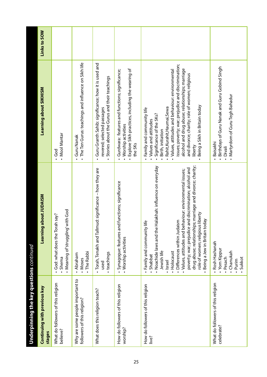| Underpinning the key questions ${\it continued}$                |                                                                                                                                                                                                                                                                                                                                                                                                                                                                         |                                                                                                                                                                                                                                                                                                                                                                                                |              |
|-----------------------------------------------------------------|-------------------------------------------------------------------------------------------------------------------------------------------------------------------------------------------------------------------------------------------------------------------------------------------------------------------------------------------------------------------------------------------------------------------------------------------------------------------------|------------------------------------------------------------------------------------------------------------------------------------------------------------------------------------------------------------------------------------------------------------------------------------------------------------------------------------------------------------------------------------------------|--------------|
| Continuing with previous key<br>stages                          | g about JUDAISM<br>Learning                                                                                                                                                                                                                                                                                                                                                                                                                                             | Learning about SIKHISM                                                                                                                                                                                                                                                                                                                                                                         | Links to SOW |
| What do followers of this religion<br>believe?                  | with God<br>God: what does the Torah say?<br>• Meaning of'struggling'<br>Shema                                                                                                                                                                                                                                                                                                                                                                                          | • Mool Mantar<br>$\frac{6}{3}$                                                                                                                                                                                                                                                                                                                                                                 |              |
| Why are some people important to<br>followers of this religion? | The Rabbi<br>Abraham<br>. Moses                                                                                                                                                                                                                                                                                                                                                                                                                                         | • The Ten Gurus: teachings and influence on Sikh life<br><b>• Guru Nanak</b>                                                                                                                                                                                                                                                                                                                   |              |
| What does this religion teach?                                  | · Torah, Tenakh and Tallmud: significance - how they are<br>teachings<br>used                                                                                                                                                                                                                                                                                                                                                                                           | • Guru Granth Sahib: significance; how it is used and<br>Stories about the Gurus and their teachings<br>revered; selected passages                                                                                                                                                                                                                                                             |              |
| How do followers of this religion<br>worship?                   | nd functions; significance<br>Synagogue: features a<br>• Worship activities                                                                                                                                                                                                                                                                                                                                                                                             | - Explore Sikh practices, including the wearing of<br>Gurdwara: features and functions; significance;<br>• Worship activities<br>the 5Ks                                                                                                                                                                                                                                                       |              |
| How do followers of this religion<br>live?                      | drug abuse; relationships; marriage and divorce; charity;<br>Halakhah: influence on everyday<br>poverty; war; prejudice and discrimination; alcohol and<br>Values, attitudes and behaviour: environmental issues;<br>role of women; religious liberty<br>Being a Jew in Britain today<br>· Differences within Judaism<br>Family and community life<br>• Noachide laws and the<br>Holocaust<br>Jewish life<br>Shabbat<br>· Israel<br>$\bullet$<br>$\bullet$<br>$\bullet$ | issues; poverty; war; prejudice and discrimination;<br>alcohol and drug abuse; relationships; marriage<br>Values, attitudes and behaviour: environmental<br>and divorce; charity; role of women; religious<br>Being a Sikh in Britain today<br>Rahit, Kurahit, Haumai, Sewa<br>Family and community life<br>Significance of the 5Ks?<br>• Values and attitudes<br>Birth, initiation<br>liberty |              |
| What do followers of this religion<br>celebrate?                | Rosh Hashanah<br>· Yom Kippur<br>Chanukah<br>Sukkot<br>Pesach<br>. Purim                                                                                                                                                                                                                                                                                                                                                                                                | Birthdays of Guru Nanak and Guru Gobind Singh<br>• Martyrdom of Guru Tegh Bahadur<br>Baisakhi<br>. Divali                                                                                                                                                                                                                                                                                      |              |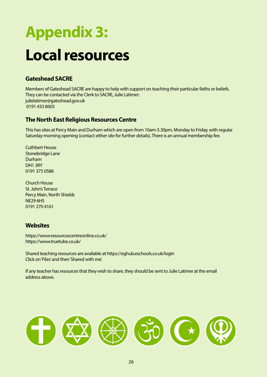## **Appendix 3: Local resources**

#### **Gateshead SACRE**

Members of Gateshead SACRE are happy to help with support on teaching their particular faiths or beliefs. They can be contacted via the Clerk to SACRE, Julie Latimer: julielatimer@gateshead.gov.uk 0191 433 8605

#### **The North East Religious Resources Centre**

This has sites at Percy Main and Durham which are open from 10am-5.30pm, Monday to Friday, with regular Saturday morning opening (contact either site for further details). There is an annual membership fee.

Cuthbert House Stonebridge Lane Durham DH1 3RY 0191 375 0586

Church House St. John's Terrace Percy Main, North Shields NE29 6HS 0191 270 4161

#### **Websites**

https://www.resourcescentreonline.co.uk/ https://www.truetube.co.uk/

Shared teaching resources are available at https://eghub.eschools.co.uk/login Click on 'Files' and then 'Shared with me'.

If any teacher has resources that they wish to share, they should be sent to Julie Latimer at the email address above.